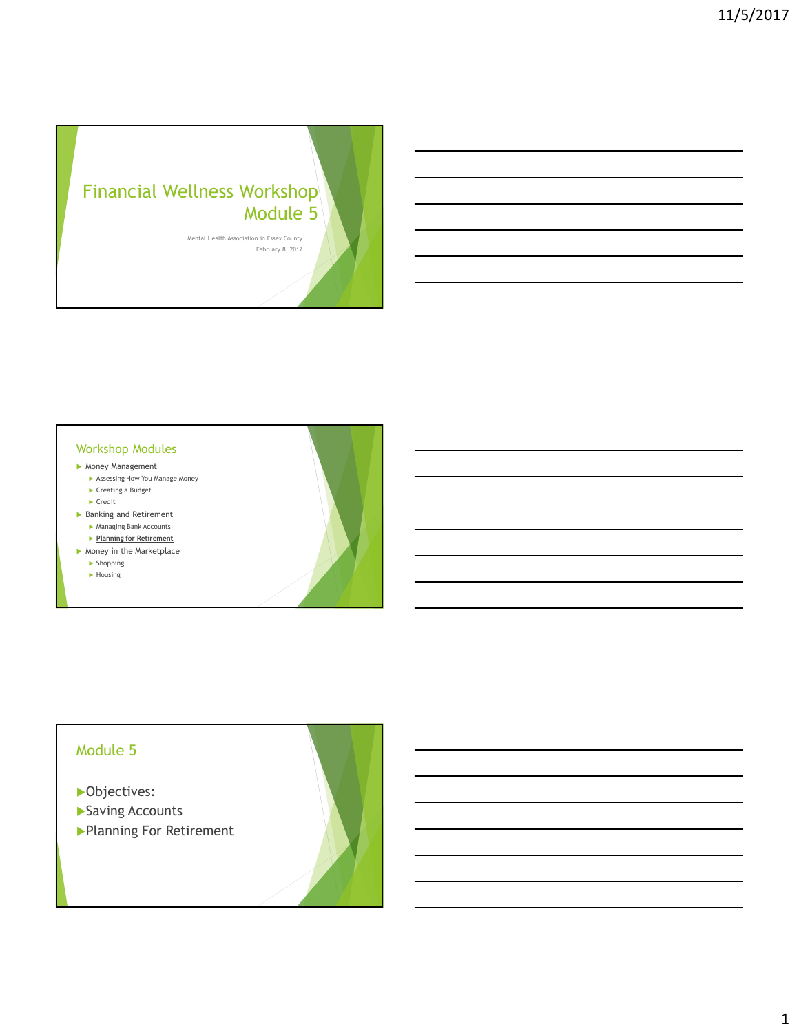# Financial Wellness Workshop Module 5

Mental Health Association in Essex County February 8, 2017

#### Workshop Modules

- Money Management
	- Assessing How You Manage Money ▶ Creating a Budget
	- $\blacktriangleright$  Credit
- ▶ Banking and Retirement Managing Bank Accounts
- **Planning for Retirement**
- $\blacktriangleright$  Money in the Marketplace **Shopping** 
	-
	- $\blacktriangleright$  Housing

## Module 5

- ▶ Objectives:
- Saving Accounts
- Planning For Retirement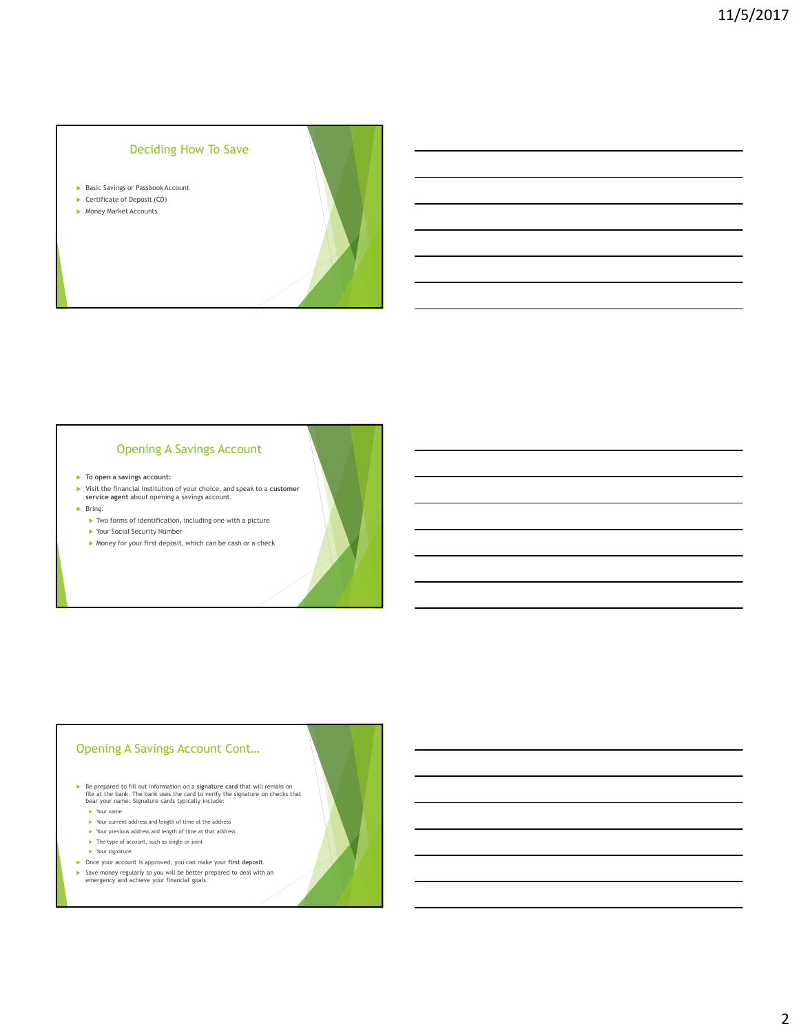### Deciding How To Save

- Basic Savings or Passbook Account
- ▶ Certificate of Deposit (CD)
- **Money Market Accounts**

#### Opening A Savings Account

- $\blacktriangleright$  To open a savings account:
- $\blacktriangleright$  Visit the financial institution of your choice, and speak to a customer service agent about opening a savings account.
- $\blacktriangleright$  Bring:
	- Two forms of identification, including one with a picture
	- Your Social Security Number
	- $\blacktriangleright$  Money for your first deposit, which can be cash or a check

#### Opening A Savings Account Cont…

► Be prepared to fill out information on a signature card that will remain on file at the bank. The bank uses the card to verify the signature on checks that bear your name. Signature cards typically include:

- Your name
- $\blacktriangleright$  Your current address and length of time at the address
- Your previous address and length of time at that address
- $\blacktriangleright$  The type of account, such as single or joint
- ▶ Your signature
- 
- Once your account is approved, you can make your first deposit. Save money regularly so you will be better prepared to deal with an emergency and achieve your financial goals.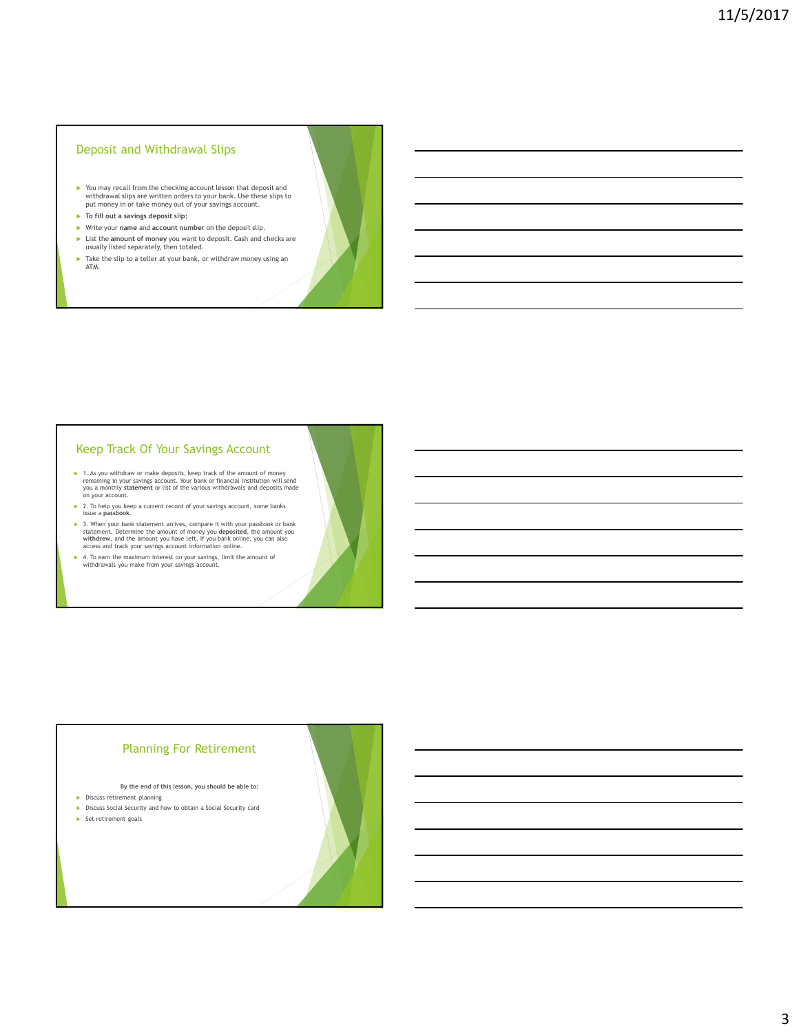#### Deposit and Withdrawal Slips

- You may recall from the checking account lesson that deposit and withdrawal slips are written orders to your bank. Use these slips to put money in or take money out of your savings account.
- $\blacktriangleright$  To fill out a savings deposit slip:
- Write your name and account number on the deposit slip.
- ► List the amount of money you want to deposit. Cash and checks are usually listed separately, then totaled.
- ▶ Take the slip to a teller at your bank, or withdraw money using an ATM.

#### Keep Track Of Your Savings Account

- 1. As you withdraw or make deposits, keep track of the amount of money<br>remaining in your savings account. Your bank or financial institution will send<br>you a monthly statement or list of the various withdrawals and deposits
- 2. To help you keep a current record of your savings account, some banks issue a passbook.
- 3. When your bank statement arrives, compare it with your passbook or bank statement. Determine the amount of money you deposited, the amount you and the dimension with and the money of access and track your savings acc
- 4. To earn the maximum interest on your savings, limit the amount of withdrawals you make from your savings account.

#### Planning For Retirement

- By the end of this lesson, you should be able to:
- **Discuss retirement planning**
- Discuss Social Security and how to obtain a Social Security card
- $\blacktriangleright$  Set retirement goals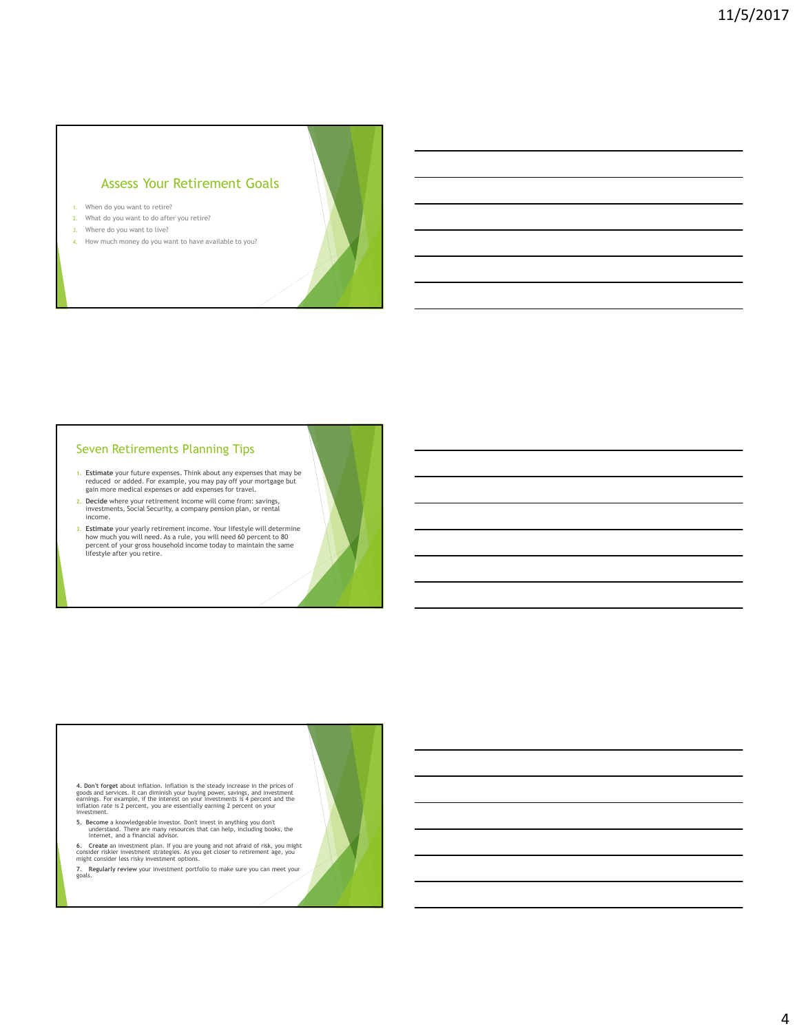### Assess Your Retirement Goals

- 1. When do you want to retire?
- 2. What do you want to do after you retire?
- 3. Where do you want to live?
- 4. How much money do you want to have available to you?

#### Seven Retirements Planning Tips

- 1. Estimate your future expenses. Think about any expenses that may be reduced or added. For example, you may pay off your mortgage but gain more medical expenses or add expenses for travel.
- 2. Decide where your retirement income will come from: savings, investments, Social Security, a company pension plan, or rental income.
- 3. Estimate your yearly retirement income. Your lifestyle will determine<br>how much you will need. As a rule, you will need 60 percent to 80<br>percent of your gross household income today to maintain the same<br>lifestyle after y

4. Don't forget about inflation. Inflation is the steady increase in the prices of<br>goods and services. It can diminish your buying power, savings, and investment<br>earnings. For example, if the interest on your investments i

5. Become a knowledgeable investor. Don't invest in anything you don't understand. There are many resources that can help, including books, the Internet, and a financial advisor.

**6. Create** an investment plan. If you are young and not afraid of risk, you might<br>consider riskier investment strategies. As you get closer to retirement age, you<br>might consider less risky investment options.

7. Regularly review your investment portfolio to make sure you can meet your goals.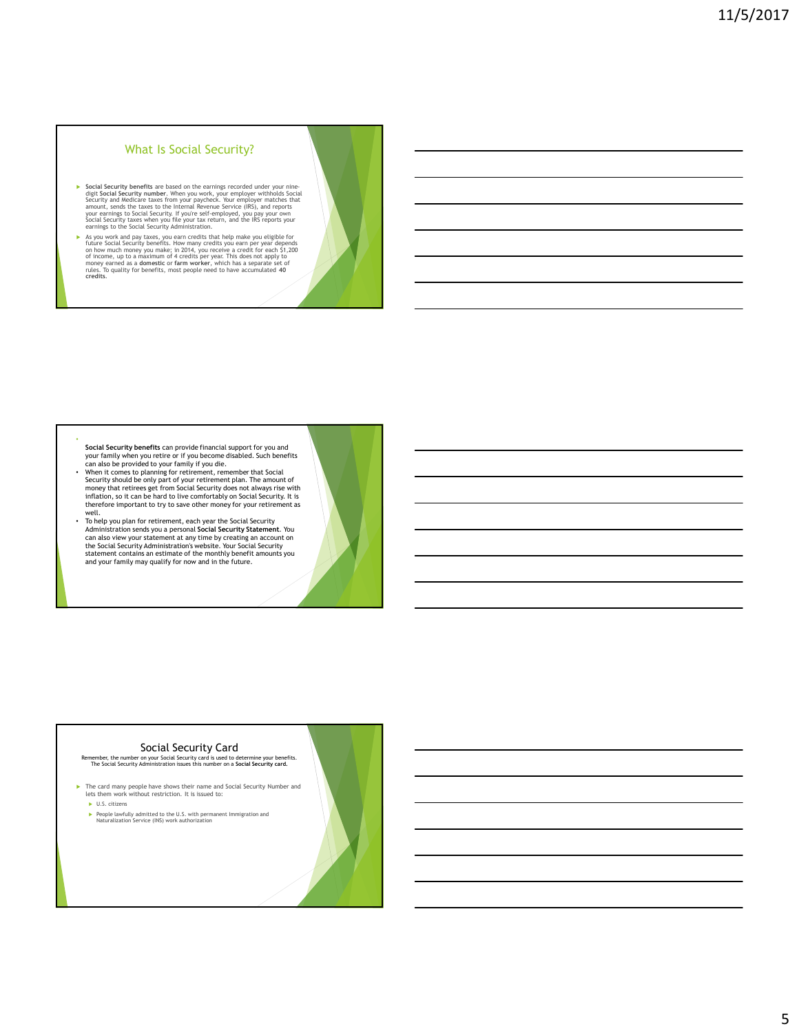#### What Is Social Security?

- Social Security benefits are based on the earnings recorded under your nine-<br>digit Social Security number. When you work, your employer withholds Social<br>Security and Medicare taxes from your paycheck. Your employer matches
- As you work and pay taxes, you earn credits that help make you eligible for future Social Security benefits. How many credits you earn per year depends on how much money you make; in 2014, you receive a credit for each 51 credits.

- Social Security benefits can provide financial support for you and your family when you retire or if you become disabled. Such benefits
- can also be provided to your family if you die.<br>• When it comes to planning for retirement, remember that Social<br>Security should be only part of your retirement plan. The amount of money that retirees get from Social Security does not always rise with inflation, so it can be hard to live comfortably on Social Security. It is therefore important to try to save other money for your retirement as well. • To help you plan for retirement, each year the Social Security
- Administration sends you a personal **Social Security Statement**. You<br>can also view your statement at any time by creating an account on<br>the Social Security Administration's website. Your Social Security statement contains an estimate of the monthly benefit amounts you and your family may qualify for now and in the future.

#### Social Security Card

Remember, the number on your Social Security card is used to determine your benefits.<br>The Social Security Administration issues this number on a Social Security card.

- $\blacktriangleright$  The card many people have shows their name and Social Security Number and lets them work without restriction. It is issued to:
	- U.S. citizens

•

People lawfully admitted to the U.S. with permanent Immigration and Naturalization Service (INS) work authorization